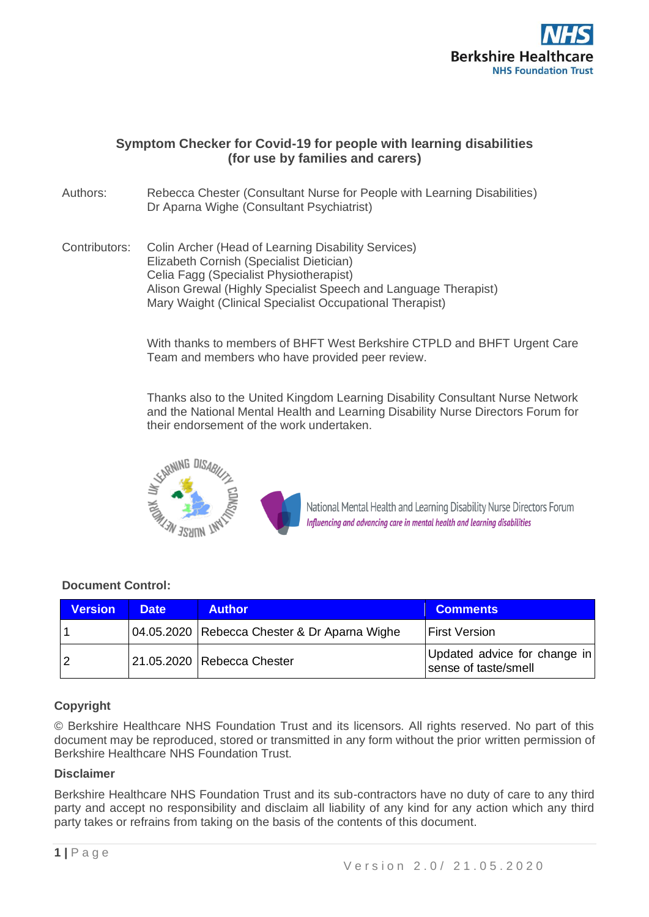

# **Symptom Checker for Covid-19 for people with learning disabilities (for use by families and carers)**

Authors: Rebecca Chester (Consultant Nurse for People with Learning Disabilities) Dr Aparna Wighe (Consultant Psychiatrist)

Contributors: Colin Archer (Head of Learning Disability Services) Elizabeth Cornish (Specialist Dietician) Celia Fagg (Specialist Physiotherapist) Alison Grewal (Highly Specialist Speech and Language Therapist) Mary Waight (Clinical Specialist Occupational Therapist)

> With thanks to members of BHFT West Berkshire CTPLD and BHFT Urgent Care Team and members who have provided peer review.

> Thanks also to the United Kingdom Learning Disability Consultant Nurse Network and the National Mental Health and Learning Disability Nurse Directors Forum for their endorsement of the work undertaken.



National Mental Health and Learning Disability Nurse Directors Forum Influencing and advancing care in mental health and learning disabilities

## **Document Control:**

| <b>Version</b> | <b>Date</b> | <b>Author</b>                                  | <b>Comments</b>                                      |
|----------------|-------------|------------------------------------------------|------------------------------------------------------|
|                |             | 04.05.2020   Rebecca Chester & Dr Aparna Wighe | <b>First Version</b>                                 |
|                |             | 21.05.2020   Rebecca Chester                   | Updated advice for change in<br>sense of taste/smell |

# **Copyright**

© Berkshire Healthcare NHS Foundation Trust and its licensors. All rights reserved. No part of this document may be reproduced, stored or transmitted in any form without the prior written permission of Berkshire Healthcare NHS Foundation Trust.

## **Disclaimer**

Berkshire Healthcare NHS Foundation Trust and its sub-contractors have no duty of care to any third party and accept no responsibility and disclaim all liability of any kind for any action which any third party takes or refrains from taking on the basis of the contents of this document.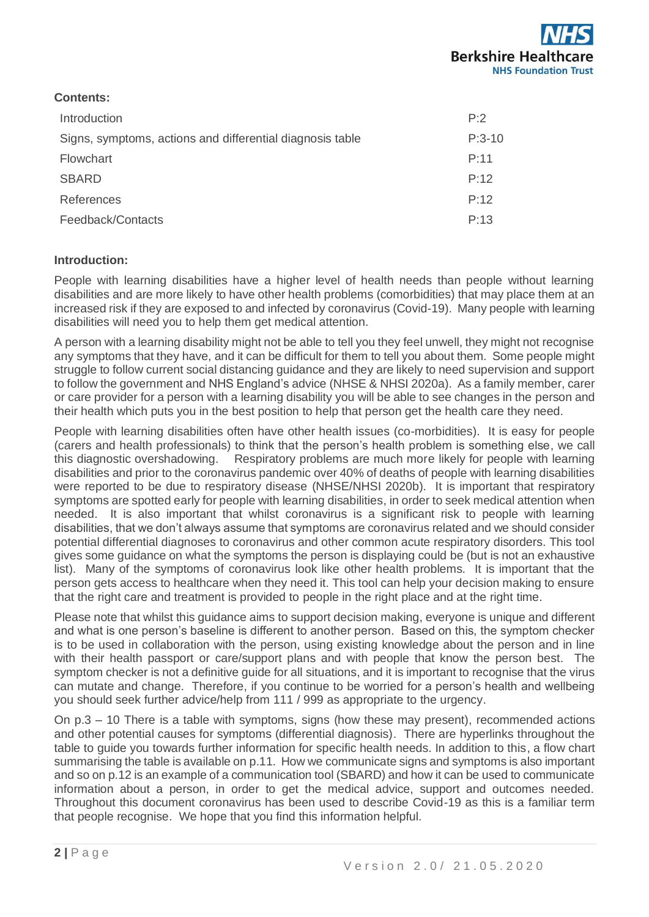

## **Contents:**

| Introduction                                              | P.2      |
|-----------------------------------------------------------|----------|
| Signs, symptoms, actions and differential diagnosis table | $P:3-10$ |
| <b>Flowchart</b>                                          | P:11     |
| <b>SBARD</b>                                              | P:12     |
| References                                                | P.12     |
| Feedback/Contacts                                         | P.13     |

## **Introduction:**

People with learning disabilities have a higher level of health needs than people without learning disabilities and are more likely to have other health problems (comorbidities) that may place them at an increased risk if they are exposed to and infected by coronavirus (Covid-19). Many people with learning disabilities will need you to help them get medical attention.

A person with a learning disability might not be able to tell you they feel unwell, they might not recognise any symptoms that they have, and it can be difficult for them to tell you about them. Some people might struggle to follow current social distancing guidance and they are likely to need supervision and support to follow the government and NHS England's advice (NHSE & NHSI 2020a). As a family member, carer or care provider for a person with a learning disability you will be able to see changes in the person and their health which puts you in the best position to help that person get the health care they need.

People with learning disabilities often have other health issues (co-morbidities). It is easy for people (carers and health professionals) to think that the person's health problem is something else, we call this diagnostic overshadowing. Respiratory problems are much more likely for people with learning disabilities and prior to the coronavirus pandemic over 40% of deaths of people with learning disabilities were reported to be due to respiratory disease (NHSE/NHSI 2020b). It is important that respiratory symptoms are spotted early for people with learning disabilities, in order to seek medical attention when needed. It is also important that whilst coronavirus is a significant risk to people with learning disabilities, that we don't always assume that symptoms are coronavirus related and we should consider potential differential diagnoses to coronavirus and other common acute respiratory disorders. This tool gives some guidance on what the symptoms the person is displaying could be (but is not an exhaustive list). Many of the symptoms of coronavirus look like other health problems. It is important that the person gets access to healthcare when they need it. This tool can help your decision making to ensure that the right care and treatment is provided to people in the right place and at the right time.

Please note that whilst this guidance aims to support decision making, everyone is unique and different and what is one person's baseline is different to another person. Based on this, the symptom checker is to be used in collaboration with the person, using existing knowledge about the person and in line with their health passport or care/support plans and with people that know the person best. The symptom checker is not a definitive quide for all situations, and it is important to recognise that the virus can mutate and change. Therefore, if you continue to be worried for a person's health and wellbeing you should seek further advice/help from 111 / 999 as appropriate to the urgency.

On p.3 – 10 There is a table with symptoms, signs (how these may present), recommended actions and other potential causes for symptoms (differential diagnosis). There are hyperlinks throughout the table to guide you towards further information for specific health needs. In addition to this, a flow chart summarising the table is available on p.11. How we communicate signs and symptoms is also important and so on p.12 is an example of a communication tool (SBARD) and how it can be used to communicate information about a person, in order to get the medical advice, support and outcomes needed. Throughout this document coronavirus has been used to describe Covid-19 as this is a familiar term that people recognise. We hope that you find this information helpful.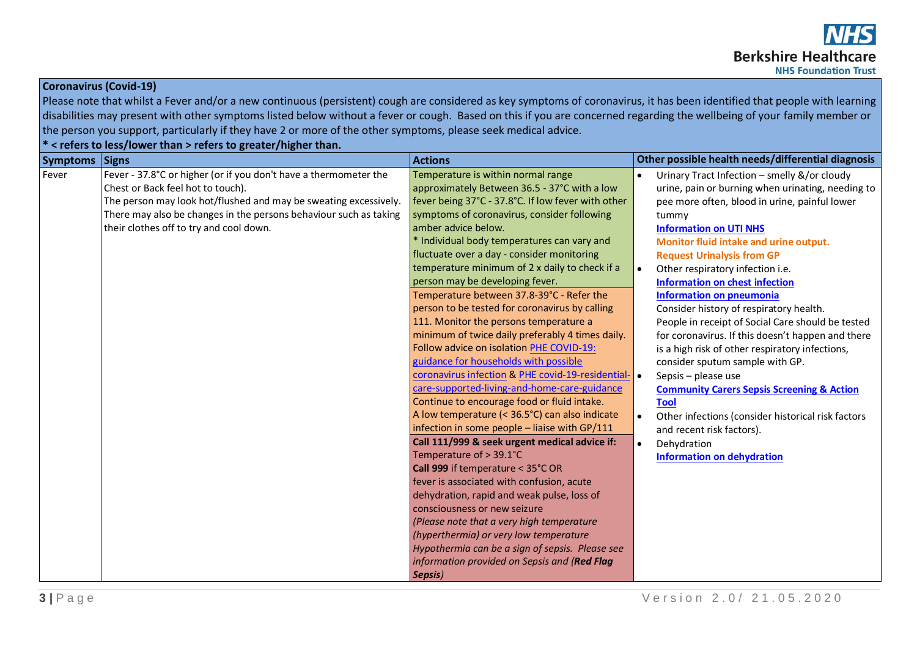## **Coronavirus (Covid-19)**

Please note that whilst a Fever and/or a new continuous (persistent) cough are considered as key symptoms of coronavirus, it has been identified that people with learning disabilities may present with other symptoms listed below without a fever or cough. Based on this if you are concerned regarding the wellbeing of your family member or the person you support, particularly if they have 2 or more of the other symptoms, please seek medical advice.

**\* < refers to less/lower than > refers to greater/higher than.**

| <b>Symptoms</b> | Signs                                                             | <b>Actions</b>                                      | Other possible health needs/differential diagnosis    |
|-----------------|-------------------------------------------------------------------|-----------------------------------------------------|-------------------------------------------------------|
| Fever           | Fever - 37.8°C or higher (or if you don't have a thermometer the  | Temperature is within normal range                  | Urinary Tract Infection - smelly &/or cloudy          |
|                 | Chest or Back feel hot to touch).                                 | approximately Between 36.5 - 37°C with a low        | urine, pain or burning when urinating, needing to     |
|                 | The person may look hot/flushed and may be sweating excessively.  | fever being 37°C - 37.8°C. If low fever with other  | pee more often, blood in urine, painful lower         |
|                 | There may also be changes in the persons behaviour such as taking | symptoms of coronavirus, consider following         | tummy                                                 |
|                 | their clothes off to try and cool down.                           | amber advice below.                                 | <b>Information on UTI NHS</b>                         |
|                 |                                                                   | * Individual body temperatures can vary and         | Monitor fluid intake and urine output.                |
|                 |                                                                   | fluctuate over a day - consider monitoring          | <b>Request Urinalysis from GP</b>                     |
|                 |                                                                   | temperature minimum of 2 x daily to check if a      | Other respiratory infection i.e.                      |
|                 |                                                                   | person may be developing fever.                     | <b>Information on chest infection</b>                 |
|                 |                                                                   | Temperature between 37.8-39°C - Refer the           | <b>Information on pneumonia</b>                       |
|                 |                                                                   | person to be tested for coronavirus by calling      | Consider history of respiratory health.               |
|                 |                                                                   | 111. Monitor the persons temperature a              | People in receipt of Social Care should be tested     |
|                 |                                                                   | minimum of twice daily preferably 4 times daily.    | for coronavirus. If this doesn't happen and there     |
|                 |                                                                   | Follow advice on isolation PHE COVID-19:            | is a high risk of other respiratory infections,       |
|                 |                                                                   | guidance for households with possible               | consider sputum sample with GP.                       |
|                 |                                                                   | coronavirus infection & PHE covid-19-residential- . | Sepsis - please use                                   |
|                 |                                                                   | care-supported-living-and-home-care-guidance        | <b>Community Carers Sepsis Screening &amp; Action</b> |
|                 |                                                                   | Continue to encourage food or fluid intake.         | <b>Tool</b>                                           |
|                 |                                                                   | A low temperature (< 36.5°C) can also indicate      | Other infections (consider historical risk factors    |
|                 |                                                                   | infection in some people - liaise with GP/111       | and recent risk factors).                             |
|                 |                                                                   | Call 111/999 & seek urgent medical advice if:       | Dehydration<br>$\bullet$                              |
|                 |                                                                   | Temperature of > 39.1°C                             | <b>Information on dehydration</b>                     |
|                 |                                                                   | Call 999 if temperature < 35°C OR                   |                                                       |
|                 |                                                                   | fever is associated with confusion, acute           |                                                       |
|                 |                                                                   | dehydration, rapid and weak pulse, loss of          |                                                       |
|                 |                                                                   | consciousness or new seizure                        |                                                       |
|                 |                                                                   | (Please note that a very high temperature           |                                                       |
|                 |                                                                   | (hyperthermia) or very low temperature              |                                                       |
|                 |                                                                   | Hypothermia can be a sign of sepsis. Please see     |                                                       |
|                 |                                                                   | information provided on Sepsis and (Red Flag        |                                                       |
|                 |                                                                   | Sepsis)                                             |                                                       |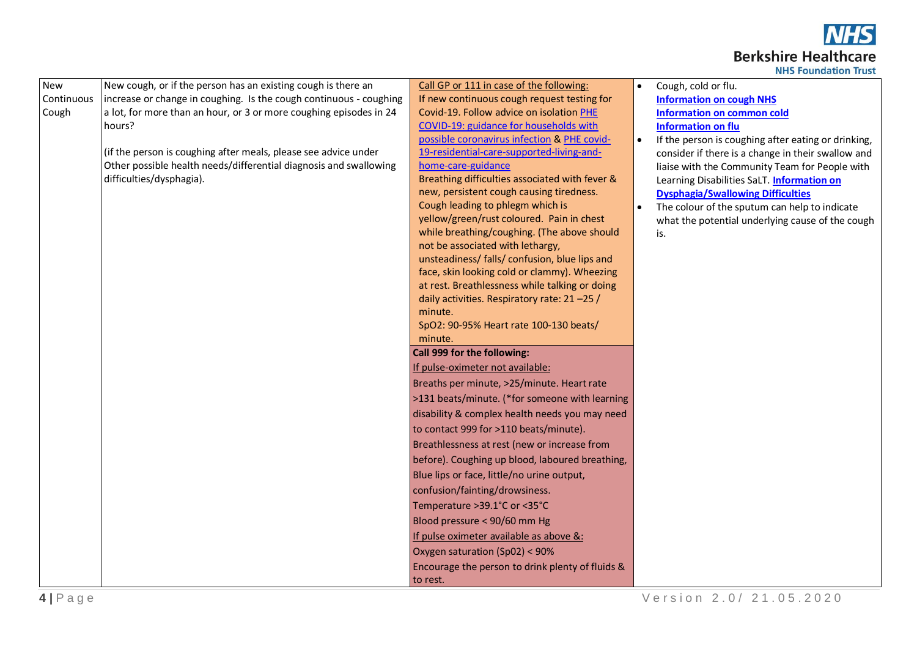

| <b>NHS Foundation Trust</b> |  |
|-----------------------------|--|
|                             |  |

| New        | New cough, or if the person has an existing cough is there an      | Call GP or 111 in case of the following:                                          | $\bullet$ | Cough, cold or flu.                                 |
|------------|--------------------------------------------------------------------|-----------------------------------------------------------------------------------|-----------|-----------------------------------------------------|
| Continuous | increase or change in coughing. Is the cough continuous - coughing | If new continuous cough request testing for                                       |           | <b>Information on cough NHS</b>                     |
| Cough      | a lot, for more than an hour, or 3 or more coughing episodes in 24 | Covid-19. Follow advice on isolation PHE                                          |           | <b>Information on common cold</b>                   |
|            | hours?                                                             | COVID-19: guidance for households with                                            |           | <b>Information on flu</b>                           |
|            |                                                                    | possible coronavirus infection & PHE covid-                                       | $\bullet$ | If the person is coughing after eating or drinking, |
|            | (if the person is coughing after meals, please see advice under    | 19-residential-care-supported-living-and-                                         |           | consider if there is a change in their swallow and  |
|            | Other possible health needs/differential diagnosis and swallowing  | home-care-guidance                                                                |           | liaise with the Community Team for People with      |
|            | difficulties/dysphagia).                                           | Breathing difficulties associated with fever &                                    |           | Learning Disabilities SaLT. Information on          |
|            |                                                                    | new, persistent cough causing tiredness.                                          |           | <b>Dysphagia/Swallowing Difficulties</b>            |
|            |                                                                    | Cough leading to phlegm which is                                                  | $\bullet$ | The colour of the sputum can help to indicate       |
|            |                                                                    | yellow/green/rust coloured. Pain in chest                                         |           | what the potential underlying cause of the cough    |
|            |                                                                    | while breathing/coughing. (The above should                                       |           | is.                                                 |
|            |                                                                    | not be associated with lethargy,<br>unsteadiness/ falls/ confusion, blue lips and |           |                                                     |
|            |                                                                    | face, skin looking cold or clammy). Wheezing                                      |           |                                                     |
|            |                                                                    | at rest. Breathlessness while talking or doing                                    |           |                                                     |
|            |                                                                    | daily activities. Respiratory rate: 21-25 /                                       |           |                                                     |
|            |                                                                    | minute.                                                                           |           |                                                     |
|            |                                                                    | SpO2: 90-95% Heart rate 100-130 beats/                                            |           |                                                     |
|            |                                                                    | minute.                                                                           |           |                                                     |
|            |                                                                    | Call 999 for the following:                                                       |           |                                                     |
|            |                                                                    | If pulse-oximeter not available:                                                  |           |                                                     |
|            |                                                                    | Breaths per minute, >25/minute. Heart rate                                        |           |                                                     |
|            |                                                                    | >131 beats/minute. (*for someone with learning                                    |           |                                                     |
|            |                                                                    | disability & complex health needs you may need                                    |           |                                                     |
|            |                                                                    | to contact 999 for >110 beats/minute).                                            |           |                                                     |
|            |                                                                    | Breathlessness at rest (new or increase from                                      |           |                                                     |
|            |                                                                    | before). Coughing up blood, laboured breathing,                                   |           |                                                     |
|            |                                                                    | Blue lips or face, little/no urine output,                                        |           |                                                     |
|            |                                                                    | confusion/fainting/drowsiness.                                                    |           |                                                     |
|            |                                                                    | Temperature > 39.1°C or < 35°C                                                    |           |                                                     |
|            |                                                                    | Blood pressure < 90/60 mm Hg                                                      |           |                                                     |
|            |                                                                    | If pulse oximeter available as above &:                                           |           |                                                     |
|            |                                                                    | Oxygen saturation (Sp02) < 90%                                                    |           |                                                     |
|            |                                                                    | Encourage the person to drink plenty of fluids &                                  |           |                                                     |
|            |                                                                    | to rest.                                                                          |           |                                                     |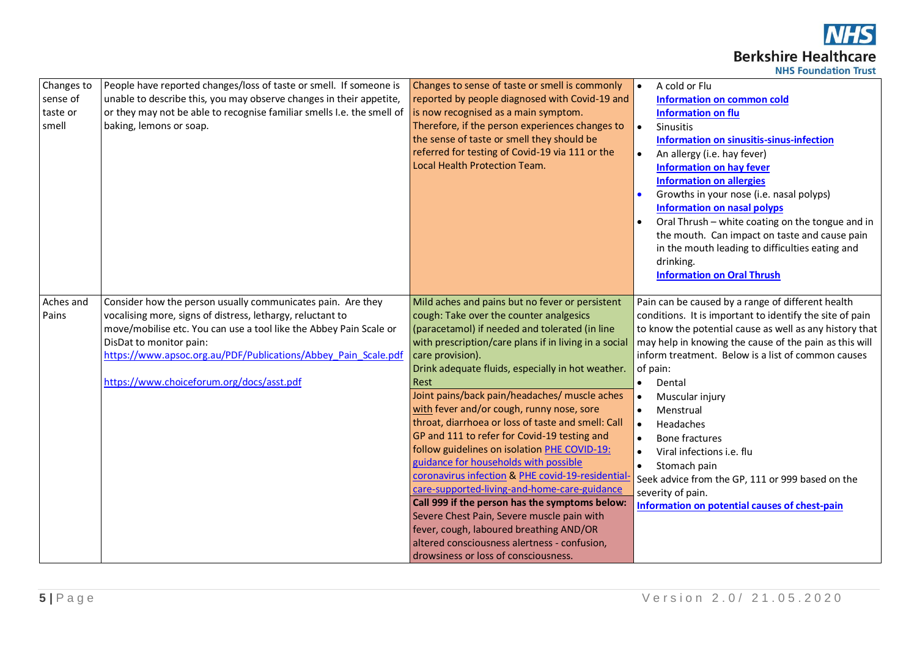**NHS Berkshire Healthcare NHS Foundation Trust** 

| Changes to<br>sense of<br>taste or<br>smell | People have reported changes/loss of taste or smell. If someone is<br>unable to describe this, you may observe changes in their appetite,<br>or they may not be able to recognise familiar smells I.e. the smell of<br>baking, lemons or soap.                                                                                            | Changes to sense of taste or smell is commonly<br>reported by people diagnosed with Covid-19 and<br>is now recognised as a main symptom.<br>Therefore, if the person experiences changes to<br>the sense of taste or smell they should be<br>referred for testing of Covid-19 via 111 or the<br>Local Health Protection Team.                                                                                                                                                                                                                                                                                                                                                                                                                                                                                                                                                                                              | A cold or Flu<br>$\bullet$<br><b>Information on common cold</b><br><b>Information on flu</b><br>$\bullet$<br>Sinusitis<br>Information on sinusitis-sinus-infection<br>An allergy (i.e. hay fever)<br><b>Information on hay fever</b><br><b>Information on allergies</b><br>Growths in your nose (i.e. nasal polyps)<br><b>Information on nasal polyps</b><br>Oral Thrush - white coating on the tongue and in<br>the mouth. Can impact on taste and cause pain<br>in the mouth leading to difficulties eating and<br>drinking.<br><b>Information on Oral Thrush</b>                   |
|---------------------------------------------|-------------------------------------------------------------------------------------------------------------------------------------------------------------------------------------------------------------------------------------------------------------------------------------------------------------------------------------------|----------------------------------------------------------------------------------------------------------------------------------------------------------------------------------------------------------------------------------------------------------------------------------------------------------------------------------------------------------------------------------------------------------------------------------------------------------------------------------------------------------------------------------------------------------------------------------------------------------------------------------------------------------------------------------------------------------------------------------------------------------------------------------------------------------------------------------------------------------------------------------------------------------------------------|---------------------------------------------------------------------------------------------------------------------------------------------------------------------------------------------------------------------------------------------------------------------------------------------------------------------------------------------------------------------------------------------------------------------------------------------------------------------------------------------------------------------------------------------------------------------------------------|
| Aches and<br>Pains                          | Consider how the person usually communicates pain. Are they<br>vocalising more, signs of distress, lethargy, reluctant to<br>move/mobilise etc. You can use a tool like the Abbey Pain Scale or<br>DisDat to monitor pain:<br>https://www.apsoc.org.au/PDF/Publications/Abbey Pain Scale.pdf<br>https://www.choiceforum.org/docs/asst.pdf | Mild aches and pains but no fever or persistent<br>cough: Take over the counter analgesics<br>(paracetamol) if needed and tolerated (in line<br>with prescription/care plans if in living in a social<br>care provision).<br>Drink adequate fluids, especially in hot weather.<br>Rest<br>Joint pains/back pain/headaches/ muscle aches<br>with fever and/or cough, runny nose, sore<br>throat, diarrhoea or loss of taste and smell: Call<br>GP and 111 to refer for Covid-19 testing and<br>follow guidelines on isolation PHE COVID-19:<br>guidance for households with possible<br>coronavirus infection & PHE covid-19-residential<br>care-supported-living-and-home-care-guidance<br>Call 999 if the person has the symptoms below:<br>Severe Chest Pain, Severe muscle pain with<br>fever, cough, laboured breathing AND/OR<br>altered consciousness alertness - confusion,<br>drowsiness or loss of consciousness. | Pain can be caused by a range of different health<br>conditions. It is important to identify the site of pain<br>to know the potential cause as well as any history that<br>may help in knowing the cause of the pain as this will<br>inform treatment. Below is a list of common causes<br>of pain:<br>$\bullet$<br>Dental<br>Muscular injury<br>$\bullet$<br>Menstrual<br>Headaches<br><b>Bone fractures</b><br>Viral infections i.e. flu<br>Stomach pain<br>Seek advice from the GP, 111 or 999 based on the<br>severity of pain.<br>Information on potential causes of chest-pain |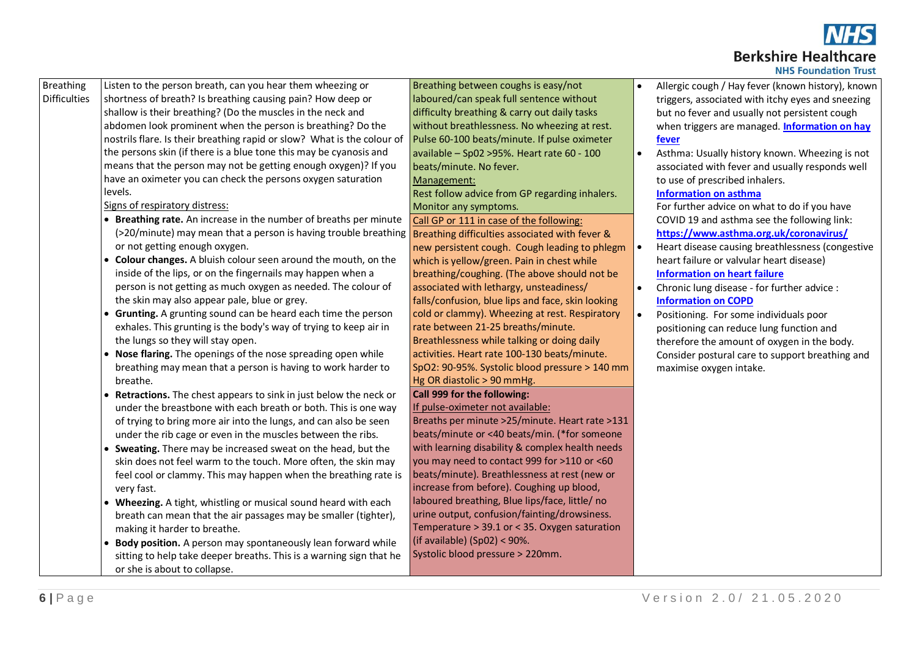

| <b>NHS Foundation Trust</b> |  |  |
|-----------------------------|--|--|
|-----------------------------|--|--|

| <b>Breathing</b>    | Listen to the person breath, can you hear them wheezing or                                                                | Breathing between coughs is easy/not              |           | Allergic cough / Hay fever (known history), known |
|---------------------|---------------------------------------------------------------------------------------------------------------------------|---------------------------------------------------|-----------|---------------------------------------------------|
| <b>Difficulties</b> | shortness of breath? Is breathing causing pain? How deep or                                                               | laboured/can speak full sentence without          |           | triggers, associated with itchy eyes and sneezing |
|                     | shallow is their breathing? (Do the muscles in the neck and                                                               | difficulty breathing & carry out daily tasks      |           | but no fever and usually not persistent cough     |
|                     | abdomen look prominent when the person is breathing? Do the                                                               | without breathlessness. No wheezing at rest.      |           | when triggers are managed. Information on hay     |
|                     | nostrils flare. Is their breathing rapid or slow? What is the colour of                                                   | Pulse 60-100 beats/minute. If pulse oximeter      |           | fever                                             |
|                     | the persons skin (if there is a blue tone this may be cyanosis and                                                        | available - Sp02 > 95%. Heart rate 60 - 100       | $\bullet$ | Asthma: Usually history known. Wheezing is not    |
|                     | means that the person may not be getting enough oxygen)? If you                                                           | beats/minute. No fever.                           |           | associated with fever and usually responds well   |
|                     | have an oximeter you can check the persons oxygen saturation                                                              | Management:                                       |           | to use of prescribed inhalers.                    |
|                     | levels.                                                                                                                   | Rest follow advice from GP regarding inhalers.    |           | <b>Information on asthma</b>                      |
|                     | Signs of respiratory distress:                                                                                            | Monitor any symptoms.                             |           | For further advice on what to do if you have      |
|                     | • Breathing rate. An increase in the number of breaths per minute                                                         | Call GP or 111 in case of the following:          |           | COVID 19 and asthma see the following link:       |
|                     | (>20/minute) may mean that a person is having trouble breathing <b>Breathing difficulties associated with fever &amp;</b> |                                                   |           | https://www.asthma.org.uk/coronavirus/            |
|                     | or not getting enough oxygen.                                                                                             | new persistent cough. Cough leading to phlegm     | $\bullet$ | Heart disease causing breathlessness (congestive  |
|                     | • Colour changes. A bluish colour seen around the mouth, on the                                                           | which is yellow/green. Pain in chest while        |           | heart failure or valvular heart disease)          |
|                     | inside of the lips, or on the fingernails may happen when a                                                               | breathing/coughing. (The above should not be      |           | <b>Information on heart failure</b>               |
|                     | person is not getting as much oxygen as needed. The colour of                                                             | associated with lethargy, unsteadiness/           |           | Chronic lung disease - for further advice :       |
|                     | the skin may also appear pale, blue or grey.                                                                              | falls/confusion, blue lips and face, skin looking |           | <b>Information on COPD</b>                        |
|                     | Grunting. A grunting sound can be heard each time the person                                                              | cold or clammy). Wheezing at rest. Respiratory    | $\bullet$ | Positioning. For some individuals poor            |
|                     | exhales. This grunting is the body's way of trying to keep air in                                                         | rate between 21-25 breaths/minute.                |           | positioning can reduce lung function and          |
|                     | the lungs so they will stay open.                                                                                         | Breathlessness while talking or doing daily       |           | therefore the amount of oxygen in the body.       |
|                     | • Nose flaring. The openings of the nose spreading open while                                                             | activities. Heart rate 100-130 beats/minute.      |           | Consider postural care to support breathing and   |
|                     | breathing may mean that a person is having to work harder to                                                              | SpO2: 90-95%. Systolic blood pressure > 140 mm    |           | maximise oxygen intake.                           |
|                     | breathe.                                                                                                                  | Hg OR diastolic > 90 mmHg.                        |           |                                                   |
|                     | • Retractions. The chest appears to sink in just below the neck or                                                        | Call 999 for the following:                       |           |                                                   |
|                     | under the breastbone with each breath or both. This is one way                                                            | If pulse-oximeter not available:                  |           |                                                   |
|                     | of trying to bring more air into the lungs, and can also be seen                                                          | Breaths per minute >25/minute. Heart rate >131    |           |                                                   |
|                     | under the rib cage or even in the muscles between the ribs.                                                               | beats/minute or <40 beats/min. (*for someone      |           |                                                   |
|                     | Sweating. There may be increased sweat on the head, but the                                                               | with learning disability & complex health needs   |           |                                                   |
|                     | skin does not feel warm to the touch. More often, the skin may                                                            | you may need to contact 999 for >110 or <60       |           |                                                   |
|                     | feel cool or clammy. This may happen when the breathing rate is                                                           | beats/minute). Breathlessness at rest (new or     |           |                                                   |
|                     | very fast.                                                                                                                | increase from before). Coughing up blood,         |           |                                                   |
|                     | • Wheezing. A tight, whistling or musical sound heard with each                                                           | laboured breathing, Blue lips/face, little/ no    |           |                                                   |
|                     | breath can mean that the air passages may be smaller (tighter),                                                           | urine output, confusion/fainting/drowsiness.      |           |                                                   |
|                     | making it harder to breathe.                                                                                              | Temperature > 39.1 or < 35. Oxygen saturation     |           |                                                   |
|                     | Body position. A person may spontaneously lean forward while                                                              | (if available) $(Sp02) < 90\%$ .                  |           |                                                   |
|                     | sitting to help take deeper breaths. This is a warning sign that he                                                       | Systolic blood pressure > 220mm.                  |           |                                                   |
|                     | or she is about to collapse.                                                                                              |                                                   |           |                                                   |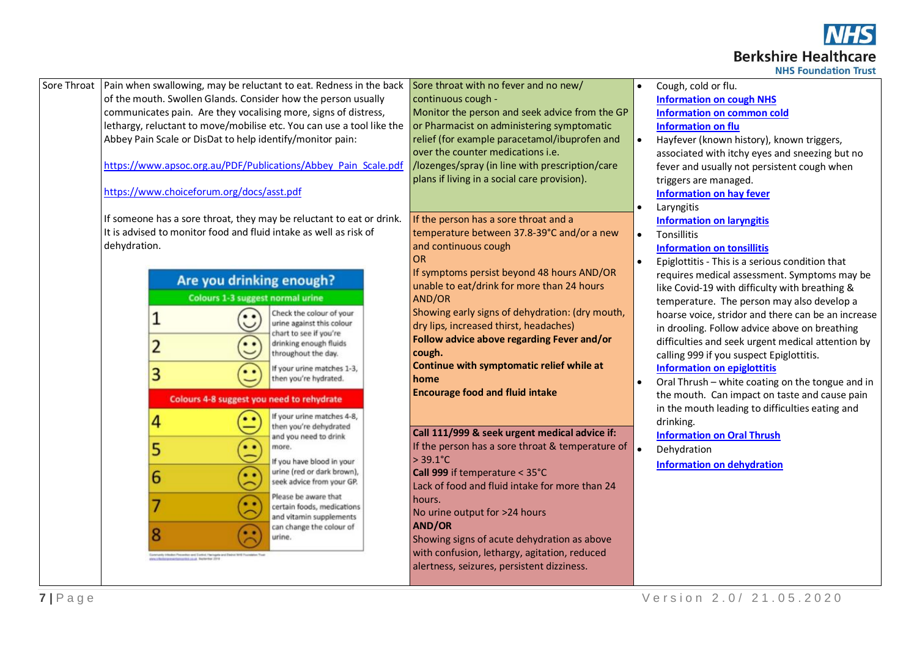

|  | <b>HS Foundation Trust</b> |
|--|----------------------------|
|  |                            |

| Sore Throat | Pain when swallowing, may be reluctant to eat. Redness in the back                                                                                 | Sore throat with no fever and no new/            | Cough, cold or flu.                                |
|-------------|----------------------------------------------------------------------------------------------------------------------------------------------------|--------------------------------------------------|----------------------------------------------------|
|             | of the mouth. Swollen Glands. Consider how the person usually                                                                                      | continuous cough -                               | <b>Information on cough NHS</b>                    |
|             | communicates pain. Are they vocalising more, signs of distress,                                                                                    | Monitor the person and seek advice from the GP   | <b>Information on common cold</b>                  |
|             | lethargy, reluctant to move/mobilise etc. You can use a tool like the                                                                              | or Pharmacist on administering symptomatic       | <b>Information on flu</b>                          |
|             | Abbey Pain Scale or DisDat to help identify/monitor pain:                                                                                          | relief (for example paracetamol/ibuprofen and    | Hayfever (known history), known triggers,          |
|             |                                                                                                                                                    | over the counter medications i.e.                | associated with itchy eyes and sneezing but no     |
|             | https://www.apsoc.org.au/PDF/Publications/Abbey Pain Scale.pdf                                                                                     | /lozenges/spray (in line with prescription/care  | fever and usually not persistent cough when        |
|             |                                                                                                                                                    | plans if living in a social care provision).     | triggers are managed.                              |
|             | https://www.choiceforum.org/docs/asst.pdf                                                                                                          |                                                  | <b>Information on hay fever</b>                    |
|             |                                                                                                                                                    |                                                  | Laryngitis                                         |
|             | If someone has a sore throat, they may be reluctant to eat or drink.                                                                               | If the person has a sore throat and a            | <b>Information on laryngitis</b>                   |
|             | It is advised to monitor food and fluid intake as well as risk of                                                                                  | temperature between 37.8-39°C and/or a new       | Tonsillitis                                        |
|             | dehydration.                                                                                                                                       | and continuous cough                             | <b>Information on tonsillitis</b>                  |
|             |                                                                                                                                                    | <b>OR</b>                                        | Epiglottitis - This is a serious condition that    |
|             | Are you drinking enough?                                                                                                                           | If symptoms persist beyond 48 hours AND/OR       | requires medical assessment. Symptoms may be       |
|             |                                                                                                                                                    | unable to eat/drink for more than 24 hours       | like Covid-19 with difficulty with breathing &     |
|             | <b>Colours 1-3 suggest normal urine</b>                                                                                                            | AND/OR                                           | temperature. The person may also develop a         |
|             | Check the colour of your<br>$\bullet$                                                                                                              | Showing early signs of dehydration: (dry mouth,  | hoarse voice, stridor and there can be an increase |
|             | urine against this colour<br>chart to see if you're                                                                                                | dry lips, increased thirst, headaches)           | in drooling. Follow advice above on breathing      |
|             | drinking enough fluids<br>$\bullet$                                                                                                                | Follow advice above regarding Fever and/or       | difficulties and seek urgent medical attention by  |
|             | throughout the day.                                                                                                                                | cough.                                           | calling 999 if you suspect Epiglottitis.           |
|             | If your urine matches 1-3,<br>$\bullet$<br>3                                                                                                       | Continue with symptomatic relief while at        | <b>Information on epiglottitis</b>                 |
|             | then you're hydrated.                                                                                                                              | home                                             | Oral Thrush - white coating on the tongue and in   |
|             | Colours 4-8 suggest you need to rehydrate                                                                                                          | <b>Encourage food and fluid intake</b>           | the mouth. Can impact on taste and cause pain      |
|             | If your urine matches 4-8,<br>. .                                                                                                                  |                                                  | in the mouth leading to difficulties eating and    |
|             | 4<br>then you're dehydrated                                                                                                                        | Call 111/999 & seek urgent medical advice if:    | drinking.                                          |
|             | and you need to drink<br>$\bullet$<br>more.                                                                                                        | If the person has a sore throat & temperature of | <b>Information on Oral Thrush</b>                  |
|             | 5                                                                                                                                                  | $> 39.1^{\circ}C$                                | Dehydration                                        |
|             | If you have blood in your<br>urine (red or dark brown),                                                                                            | Call 999 if temperature < 35°C                   | <b>Information on dehydration</b>                  |
|             | 6<br>$\ddot{\cdot}$<br>seek advice from your GP.                                                                                                   | Lack of food and fluid intake for more than 24   |                                                    |
|             | Please be aware that                                                                                                                               | hours.                                           |                                                    |
|             | $\bullet$<br>certain foods, medications                                                                                                            | No urine output for >24 hours                    |                                                    |
|             | and vitamin supplements<br>can change the colour of                                                                                                | <b>AND/OR</b>                                    |                                                    |
|             | urine.                                                                                                                                             | Showing signs of acute dehydration as above      |                                                    |
|             |                                                                                                                                                    | with confusion, lethargy, agitation, reduced     |                                                    |
|             | .<br>Sentianly tributes Presentar and Surbist Ybringale and Sudrat Will Fournisher Tour<br>And Lifestici presentations that caugh Haplanker (1916) | alertness, seizures, persistent dizziness.       |                                                    |
|             |                                                                                                                                                    |                                                  |                                                    |
|             |                                                                                                                                                    |                                                  |                                                    |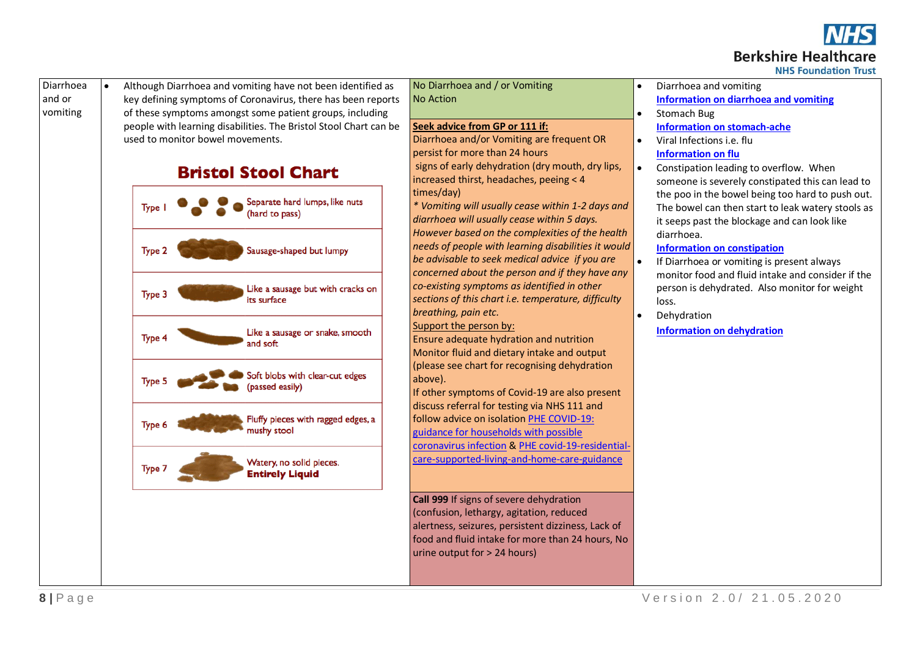

# **Berkshire Healthcare**

**NHS Foundation Trust** 



• Although Diarrhoea and vomiting have not been identified as key defining symptoms of Coronavirus, there has been reports of these symptoms amongst some patient groups, including people with learning disabilities. The Bristol Stool Chart can be used to monitor bowel movements.





No Diarrhoea and / or Vomiting No Action

#### **Seek advice from GP or 111 if:**

Diarrhoea and/or Vomiting are frequent OR persist for more than 24 hours signs of early dehydration (dry mouth, dry lips, increased thirst, headaches, peeing < 4 times/day)

*\* Vomiting will usually cease within 1-2 days and diarrhoea will usually cease within 5 days. However based on the complexities of the health needs of people with learning disabilities it would be advisable to seek medical advice if you are concerned about the person and if they have any co-existing symptoms as identified in other sections of this chart i.e. temperature, difficulty breathing, pain etc.*

Support the person by:

Ensure adequate hydration and nutrition Monitor fluid and dietary intake and output (please see chart for recognising dehydration above).

If other symptoms of Covid-19 are also present discuss referral for testing via NHS 111 and follow advice on isolatio[n PHE COVID-19:](https://www.gov.uk/government/publications/covid-19-stay-at-home-guidance)  [guidance for households with possible](https://www.gov.uk/government/publications/covid-19-stay-at-home-guidance)  [coronavirus infection](https://www.gov.uk/government/publications/covid-19-stay-at-home-guidance) [& PHE covid-19-residential](https://www.gov.uk/government/publications/covid-19-residential-care-supported-living-and-home-care-guidance/covid-19-guidance-on-home-care-provision)[care-supported-living-and-home-care-guidance](https://www.gov.uk/government/publications/covid-19-residential-care-supported-living-and-home-care-guidance/covid-19-guidance-on-home-care-provision)

**Call 999** If signs of severe dehydration (confusion, lethargy, agitation, reduced alertness, seizures, persistent dizziness, Lack of food and fluid intake for more than 24 hours, No urine output for > 24 hours)

- Diarrhoea and vomiting **[Information on diarrhoea and vomiting](https://www.nhs.uk/conditions/diarrhoea-and-vomiting/)**
- Stomach Bug **[Information on stomach-ache](https://www.nhs.uk/conditions/stomach-ache/)**  $\bullet$  Viral Infections i.e. flu

# **[Information on flu](https://www.nhs.uk/conditions/flu/)**

• Constipation leading to overflow. When someone is severely constipated this can lead to the poo in the bowel being too hard to push out. The bowel can then start to leak watery stools as it seeps past the blockage and can look like diarrhoea.

#### **[Information on](https://www.nhs.uk/conditions/constipation/) constipation**

- If Diarrhoea or vomiting is present always monitor food and fluid intake and consider if the person is dehydrated. Also monitor for weight loss.
- Dehydration **[Information on dehydration](https://www.nhs.uk/conditions/dehydration/)**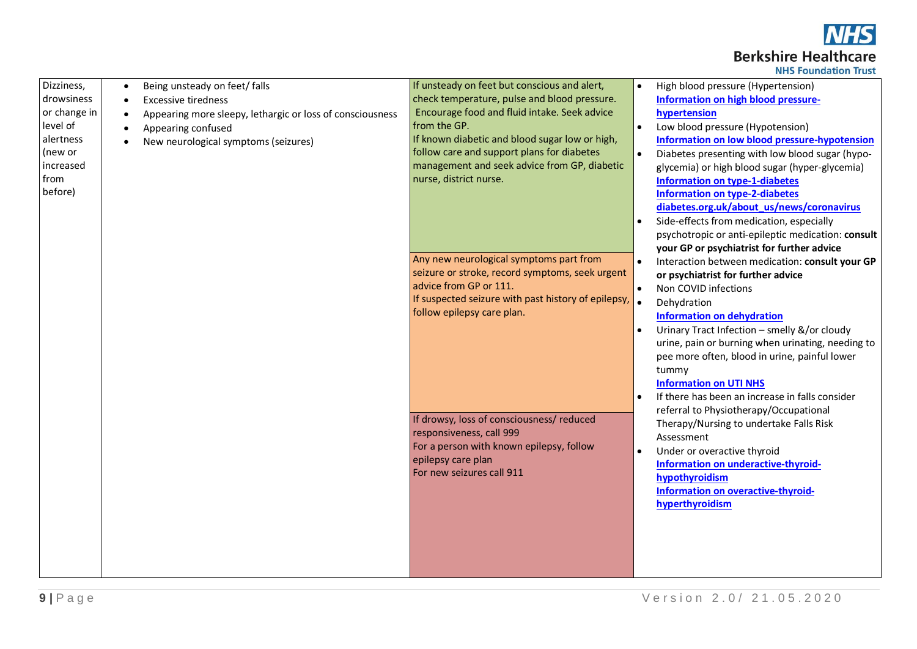

|  | <b>NHS Foundation Trust</b> |  |
|--|-----------------------------|--|

| Dizziness,   | Being unsteady on feet/ falls                             | If unsteady on feet but conscious and alert,        |           | High blood pressure (Hypertension)                 |
|--------------|-----------------------------------------------------------|-----------------------------------------------------|-----------|----------------------------------------------------|
| drowsiness   | <b>Excessive tiredness</b>                                | check temperature, pulse and blood pressure.        |           | Information on high blood pressure-                |
| or change in | Appearing more sleepy, lethargic or loss of consciousness | Encourage food and fluid intake. Seek advice        |           | hypertension                                       |
| level of     | Appearing confused                                        | from the GP.                                        | $\bullet$ | Low blood pressure (Hypotension)                   |
| alertness    | New neurological symptoms (seizures)                      | If known diabetic and blood sugar low or high,      |           | Information on low blood pressure-hypotension      |
| (new or      |                                                           | follow care and support plans for diabetes          |           | Diabetes presenting with low blood sugar (hypo-    |
| increased    |                                                           | management and seek advice from GP, diabetic        |           | glycemia) or high blood sugar (hyper-glycemia)     |
| from         |                                                           | nurse, district nurse.                              |           | <b>Information on type-1-diabetes</b>              |
| before)      |                                                           |                                                     |           | <b>Information on type-2-diabetes</b>              |
|              |                                                           |                                                     |           | diabetes.org.uk/about_us/news/coronavirus          |
|              |                                                           |                                                     |           | Side-effects from medication, especially           |
|              |                                                           |                                                     |           | psychotropic or anti-epileptic medication: consult |
|              |                                                           |                                                     |           | your GP or psychiatrist for further advice         |
|              |                                                           | Any new neurological symptoms part from             |           | Interaction between medication: consult your GP    |
|              |                                                           | seizure or stroke, record symptoms, seek urgent     |           | or psychiatrist for further advice                 |
|              |                                                           | advice from GP or 111.                              |           | Non COVID infections                               |
|              |                                                           | If suspected seizure with past history of epilepsy, | ۱.        | Dehydration                                        |
|              |                                                           | follow epilepsy care plan.                          |           | <b>Information on dehydration</b>                  |
|              |                                                           |                                                     |           | Urinary Tract Infection - smelly &/or cloudy       |
|              |                                                           |                                                     |           | urine, pain or burning when urinating, needing to  |
|              |                                                           |                                                     |           | pee more often, blood in urine, painful lower      |
|              |                                                           |                                                     |           | tummy                                              |
|              |                                                           |                                                     |           | <b>Information on UTI NHS</b>                      |
|              |                                                           |                                                     |           | If there has been an increase in falls consider    |
|              |                                                           |                                                     |           | referral to Physiotherapy/Occupational             |
|              |                                                           | If drowsy, loss of consciousness/ reduced           |           | Therapy/Nursing to undertake Falls Risk            |
|              |                                                           | responsiveness, call 999                            |           | Assessment                                         |
|              |                                                           | For a person with known epilepsy, follow            |           | Under or overactive thyroid                        |
|              |                                                           | epilepsy care plan                                  |           | Information on underactive-thyroid-                |
|              |                                                           | For new seizures call 911                           |           | hypothyroidism                                     |
|              |                                                           |                                                     |           | Information on overactive-thyroid-                 |
|              |                                                           |                                                     |           | hyperthyroidism                                    |
|              |                                                           |                                                     |           |                                                    |
|              |                                                           |                                                     |           |                                                    |
|              |                                                           |                                                     |           |                                                    |
|              |                                                           |                                                     |           |                                                    |
|              |                                                           |                                                     |           |                                                    |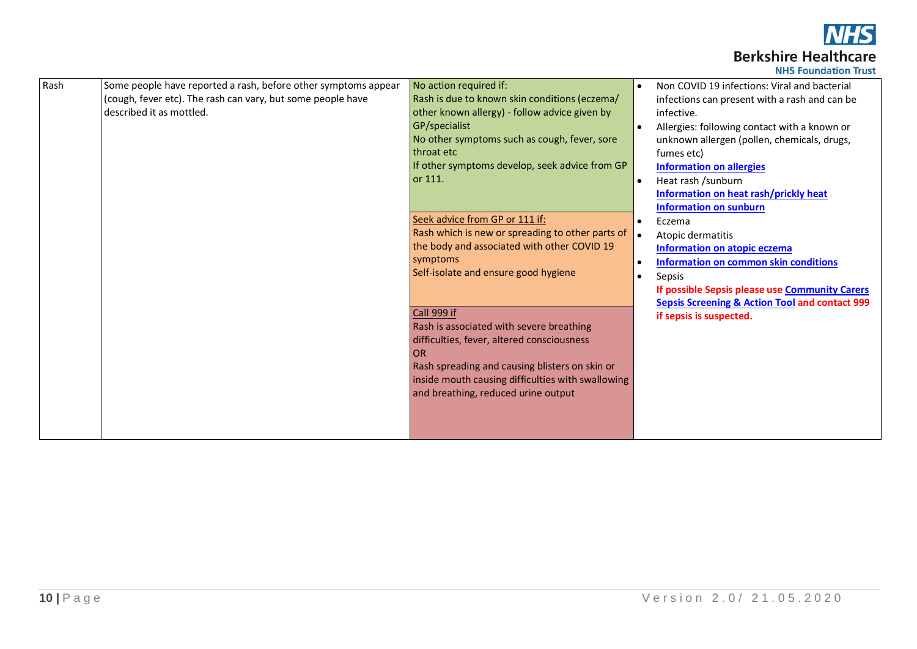

| <b>NHS Foundation Trust</b> |  |  |
|-----------------------------|--|--|
|-----------------------------|--|--|

| Rash | Some people have reported a rash, before other symptoms appear | No action required if:                                                 |           | Non COVID 19 infections: Viral and bacterial              |
|------|----------------------------------------------------------------|------------------------------------------------------------------------|-----------|-----------------------------------------------------------|
|      | (cough, fever etc). The rash can vary, but some people have    | Rash is due to known skin conditions (eczema/                          |           | infections can present with a rash and can be             |
|      | described it as mottled.                                       | other known allergy) - follow advice given by                          |           | infective.                                                |
|      |                                                                | GP/specialist                                                          |           | Allergies: following contact with a known or              |
|      |                                                                | No other symptoms such as cough, fever, sore                           |           | unknown allergen (pollen, chemicals, drugs,               |
|      |                                                                | throat etc                                                             |           | fumes etc)                                                |
|      |                                                                | If other symptoms develop, seek advice from GP                         |           | <b>Information on allergies</b>                           |
|      |                                                                | or 111.                                                                |           | Heat rash /sunburn                                        |
|      |                                                                |                                                                        |           | Information on heat rash/prickly heat                     |
|      |                                                                |                                                                        |           | <b>Information on sunburn</b>                             |
|      |                                                                | Seek advice from GP or 111 if:                                         |           | Eczema                                                    |
|      |                                                                | Rash which is new or spreading to other parts of $\vert \bullet \vert$ |           | Atopic dermatitis                                         |
|      |                                                                | the body and associated with other COVID 19                            |           | Information on atopic eczema                              |
|      |                                                                | symptoms                                                               |           | Information on common skin conditions                     |
|      |                                                                | Self-isolate and ensure good hygiene                                   | $\bullet$ | Sepsis                                                    |
|      |                                                                |                                                                        |           | If possible Sepsis please use Community Carers            |
|      |                                                                |                                                                        |           | <b>Sepsis Screening &amp; Action Tool and contact 999</b> |
|      |                                                                | Call 999 if                                                            |           | if sepsis is suspected.                                   |
|      |                                                                | Rash is associated with severe breathing                               |           |                                                           |
|      |                                                                | difficulties, fever, altered consciousness                             |           |                                                           |
|      |                                                                | OR                                                                     |           |                                                           |
|      |                                                                | Rash spreading and causing blisters on skin or                         |           |                                                           |
|      |                                                                | inside mouth causing difficulties with swallowing                      |           |                                                           |
|      |                                                                | and breathing, reduced urine output                                    |           |                                                           |
|      |                                                                |                                                                        |           |                                                           |
|      |                                                                |                                                                        |           |                                                           |
|      |                                                                |                                                                        |           |                                                           |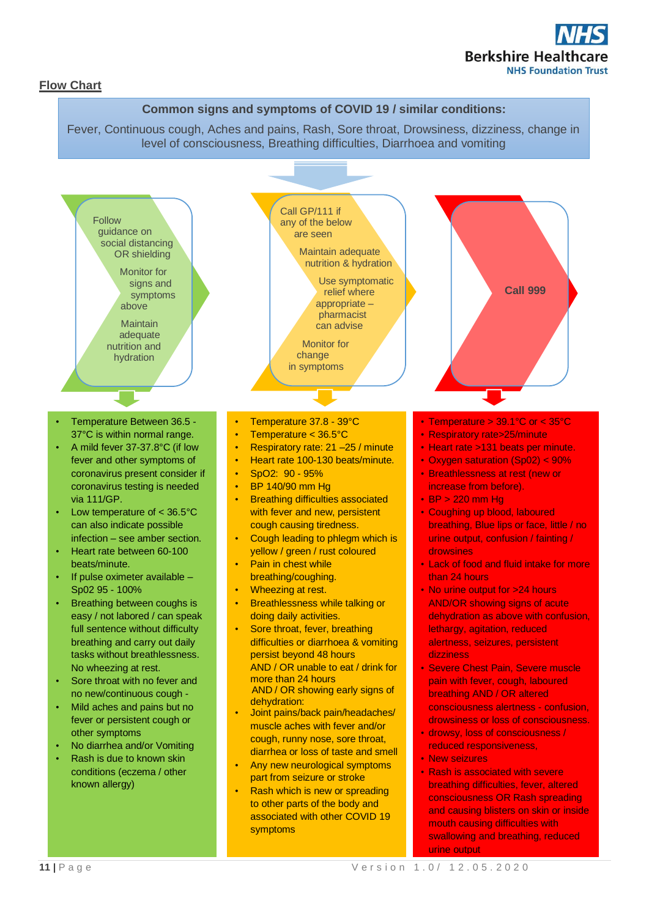

#### **Flow Chart**

#### **Common signs and symptoms of COVID 19 / similar conditions:**

Fever, Continuous cough, Aches and pains, Rash, Sore throat, Drowsiness, dizziness, change in level of consciousness, Breathing difficulties, Diarrhoea and vomiting

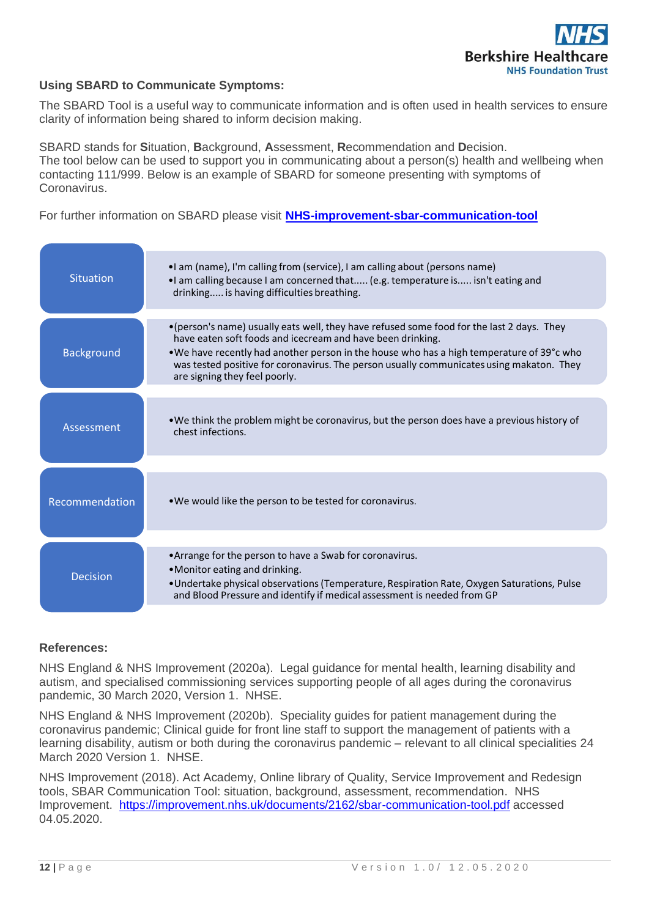

## **Using SBARD to Communicate Symptoms:**

The SBARD Tool is a useful way to communicate information and is often used in health services to ensure clarity of information being shared to inform decision making.

SBARD stands for **S**ituation, **B**ackground, **A**ssessment, **R**ecommendation and **D**ecision. The tool below can be used to support you in communicating about a person(s) health and wellbeing when contacting 111/999. Below is an example of SBARD for someone presenting with symptoms of Coronavirus.

For further information on SBARD please visit **[NHS-improvement-sbar-communication-tool](https://improvement.nhs.uk/documents/2162/sbar-communication-tool.pdf)**

| <b>Situation</b>  | . I am (name), I'm calling from (service), I am calling about (persons name)<br>If am calling because I am concerned that (e.g. temperature is isn't eating and<br>drinking is having difficulties breathing.                                                                                                                                                                    |
|-------------------|----------------------------------------------------------------------------------------------------------------------------------------------------------------------------------------------------------------------------------------------------------------------------------------------------------------------------------------------------------------------------------|
| <b>Background</b> | •(person's name) usually eats well, they have refused some food for the last 2 days. They<br>have eaten soft foods and icecream and have been drinking.<br>•We have recently had another person in the house who has a high temperature of 39°c who<br>was tested positive for coronavirus. The person usually communicates using makaton. They<br>are signing they feel poorly. |
| Assessment        | • We think the problem might be coronavirus, but the person does have a previous history of<br>chest infections.                                                                                                                                                                                                                                                                 |
| Recommendation    | . We would like the person to be tested for coronavirus.                                                                                                                                                                                                                                                                                                                         |
| <b>Decision</b>   | •Arrange for the person to have a Swab for coronavirus.<br>•Monitor eating and drinking.<br>• Undertake physical observations (Temperature, Respiration Rate, Oxygen Saturations, Pulse<br>and Blood Pressure and identify if medical assessment is needed from GP                                                                                                               |

## **References:**

NHS England & NHS Improvement (2020a). Legal guidance for mental health, learning disability and autism, and specialised commissioning services supporting people of all ages during the coronavirus pandemic, 30 March 2020, Version 1. NHSE.

NHS England & NHS Improvement (2020b). Speciality guides for patient management during the coronavirus pandemic; Clinical guide for front line staff to support the management of patients with a learning disability, autism or both during the coronavirus pandemic – relevant to all clinical specialities 24 March 2020 Version 1. NHSE.

NHS Improvement (2018). Act Academy, Online library of Quality, Service Improvement and Redesign tools, SBAR Communication Tool: situation, background, assessment, recommendation. NHS Improvement. <https://improvement.nhs.uk/documents/2162/sbar-communication-tool.pdf> accessed 04.05.2020.